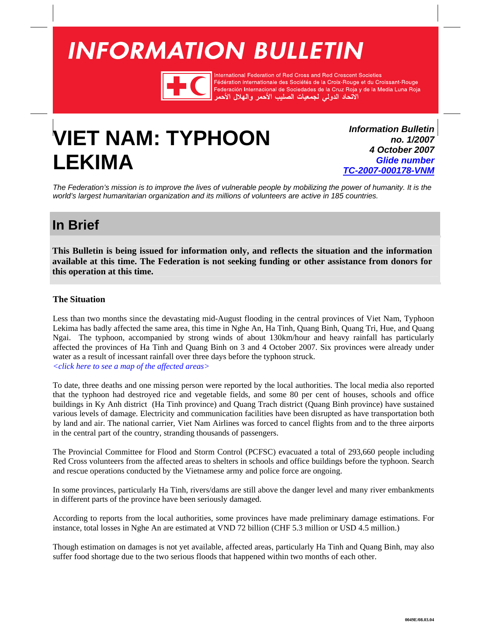# <span id="page-0-0"></span>**INFORMATION BULLETIN**



International Federation of Red Cross and Red Crescent Societies Fédération internationale des Sociétés de la Croix-Rouge et du Croissant-Rouge Federación Internacional de Sociedades de la Cruz Roja y de la Media Luna Roja الأتحاد الدولى لجمعيات الصليب الأحمر والهلال الأه

# **VIET NAM: TYPHOON LEKIMA**

*Information Bulletin no. 1/2007 4 October 2007 Glide number [TC-2007-000178-VNM](http://www.glidenumber.net/glide/public/search/details.jsp?glide=18016&record=1&last=18)*

*The Federation's mission is to improve the lives of vulnerable people by mobilizing the power of humanity. It is the world's largest humanitarian organization and its millions of volunteers are active in 185 countries.* 

## **In Brief**

**This Bulletin is being issued for information only, and reflects the situation and the information available at this time. The Federation is not seeking funding or other assistance from donors for this operation at this time.**

### **The Situation**

Less than two months since the devastating mid-August flooding in the central provinces of Viet Nam, Typhoon Lekima has badly affected the same area, this time in Nghe An, Ha Tinh, Quang Binh, Quang Tri, Hue, and Quang Ngai. The typhoon, accompanied by strong winds of about 130km/hour and heavy rainfall has particularly affected the provinces of Ha Tinh and Quang Binh on 3 and 4 October 2007. Six provinces were already under water as a result of incessant rainfall over three days before the typhoon struck. *[<click here to see a map of the affected areas>](#page-2-0)* 

To date, three deaths and one missing person were reported by the local authorities. The local media also reported that the typhoon had destroyed rice and vegetable fields, and some 80 per cent of houses, schools and office buildings in Ky Anh district (Ha Tinh province) and Quang Trach district (Quang Binh province) have sustained various levels of damage. Electricity and communication facilities have been disrupted as have transportation both by land and air. The national carrier, Viet Nam Airlines was forced to cancel flights from and to the three airports in the central part of the country, stranding thousands of passengers.

The Provincial Committee for Flood and Storm Control (PCFSC) evacuated a total of 293,660 people including Red Cross volunteers from the affected areas to shelters in schools and office buildings before the typhoon. Search and rescue operations conducted by the Vietnamese army and police force are ongoing.

In some provinces, particularly Ha Tinh, rivers/dams are still above the danger level and many river embankments in different parts of the province have been seriously damaged.

According to reports from the local authorities, some provinces have made preliminary damage estimations. For instance, total losses in Nghe An are estimated at VND 72 billion (CHF 5.3 million or USD 4.5 million.)

Though estimation on damages is not yet available, affected areas, particularly Ha Tinh and Quang Binh, may also suffer food shortage due to the two serious floods that happened within two months of each other.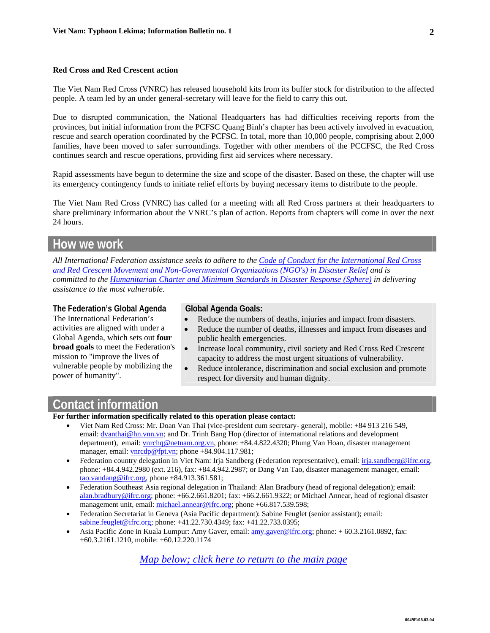#### **Red Cross and Red Crescent action**

The Viet Nam Red Cross (VNRC) has released household kits from its buffer stock for distribution to the affected people. A team led by an under general-secretary will leave for the field to carry this out.

Due to disrupted communication, the National Headquarters has had difficulties receiving reports from the provinces, but initial information from the PCFSC Quang Binh's chapter has been actively involved in evacuation, rescue and search operation coordinated by the PCFSC. In total, more than 10,000 people, comprising about 2,000 families, have been moved to safer surroundings. Together with other members of the PCCFSC, the Red Cross continues search and rescue operations, providing first aid services where necessary.

Rapid assessments have begun to determine the size and scope of the disaster. Based on these, the chapter will use its emergency contingency funds to initiate relief efforts by buying necessary items to distribute to the people.

The Viet Nam Red Cross (VNRC) has called for a meeting with all Red Cross partners at their headquarters to share preliminary information about the VNRC's plan of action. Reports from chapters will come in over the next 24 hours.

### **How we work**

*All International Federation assistance seeks to adhere to th[e Code of Conduct for the Internatio](http://www.ifrc.org/publicat/conduct/index.asp)nal Red Cross and Red Crescent Movement and Non-Governmental Organizations (NGO's) in Disaster Relief and is committed to the [Humanitarian Charter and Minimum Standards in Disaster Response \(Sphere\) i](http://www.sphereproject.org/)n delivering assistance to the most vulnerable.* 

#### **The Federation's Global Agenda**

The International Federation's activities are aligned with under a Global Agenda, which sets out **four broad goals** to meet the Federation's mission to "improve the lives of vulnerable people by mobilizing the power of humanity".

#### **Global Agenda Goals:**

- Reduce the numbers of deaths, injuries and impact from disasters.
- Reduce the number of deaths, illnesses and impact from diseases and public health emergencies.
- Increase local community, civil society and Red Cross Red Crescent capacity to address the most urgent situations of vulnerability.
- Reduce intolerance, discrimination and social exclusion and promote respect for diversity and human dignity.

## **Contact information**

**For further information specifically related to this operation please contact:** 

- Viet Nam Red Cross: Mr. Doan Van Thai (vice-president cum secretary- general), mobile: +84 913 216 549, email: <u>dvanthai@hn.vnn.vn;</u> and Dr. Trinh Bang Hop (director of international relations and development department), email: vnrchq@netnam.org.vn, phone: +84.4.822.4320; Phung Van Hoan, disaster management manager, email: vnrcdp@fpt.vn; phone +84.904.117.981;
- Federation country delegation in Viet Nam: Irja Sandberg (Federation representative), email: irja.sandberg@ifrc.org, phone: +84.4.942.2980 (ext. 216), fax: +84.4.942.2987; or Dang Van Tao, disaster management manager, email: tao.vandang@ifrc.org, phone +84.913.361.581;
- Federation Southeast Asia regional delegation in Thailand: Alan Bradbury (head of regional delegation); email: alan.bradbury@ifrc.org; phone: +66.2.661.8201; fax: +66.2.661.9322; or Michael Annear, head of regional disaster management unit, email: michael.annear@ifrc.org; phone +66.817.539.598;
- Federation Secretariat in Geneva (Asia Pacific department): Sabine Feuglet (senior assistant); email: sabine.feuglet@ifrc.org; phone: +41.22.730.4349; fax: +41.22.733.0395;
- Asia Pacific Zone in Kuala Lumpur: Amy Gaver, email: amy.gaver@ifrc.org; phone: + 60.3.2161.0892, fax: +60.3.2161.1210, mobile: +60.12.220.1174

*Map below; [click here to return to the main page](#page-0-0)*